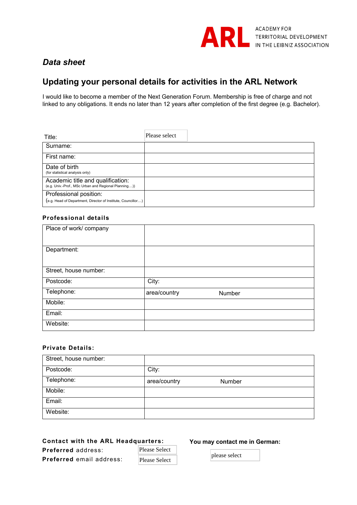

# *Data sheet*

# **Updating your personal details for activities in the ARL Network**

I would like to become a member of the Next Generation Forum. Membership is free of charge and not linked to any obligations. It ends no later than 12 years after completion of the first degree (e.g. Bachelor).

| Title:                                                                                    | Please select |
|-------------------------------------------------------------------------------------------|---------------|
| Surname:                                                                                  |               |
| First name:                                                                               |               |
| Date of birth<br>(for statistical analysis only)                                          |               |
| Academic title and qualification:<br>(e.g. Univ.-Prof., MSc Urban and Regional Planning)) |               |
| Professional position:<br>(e.g. Head of Department, Director of Institute, Councillor)    |               |

## **Professional details**

| Place of work/ company |              |        |
|------------------------|--------------|--------|
|                        |              |        |
| Department:            |              |        |
|                        |              |        |
| Street, house number:  |              |        |
| Postcode:              | City:        |        |
| Telephone:             | area/country | Number |
| Mobile:                |              |        |
| Email:                 |              |        |
| Website:               |              |        |

## **Private Details:**

| Street, house number: |              |        |
|-----------------------|--------------|--------|
| Postcode:             | City:        |        |
| Telephone:            | area/country | Number |
| Mobile:               |              |        |
| Email:                |              |        |
| Website:              |              |        |

#### **Contact with the ARL Headquarters:**

#### **You may contact me in German:**

**Preferred** address: **Preferred** email address:

| <b>Please Select</b> |  |
|----------------------|--|
| <b>Please Select</b> |  |

please select